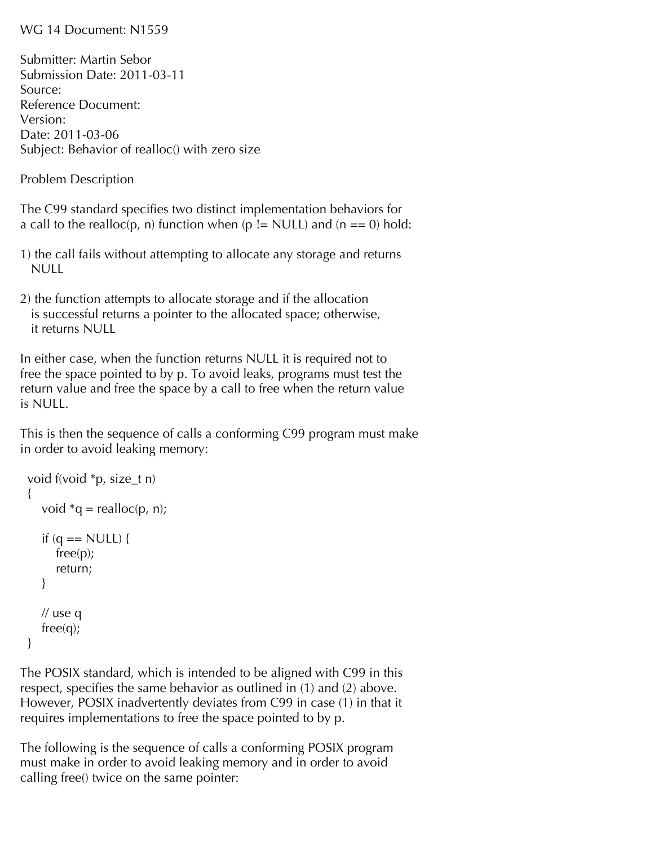## WG 14 Document: N1559

Submitter: Martin Sebor Submission Date: 2011-03-11 Source: Reference Document: Version: Date: 2011-03-06 Subject: Behavior of realloc() with zero size

Problem Description

The C99 standard specifies two distinct implementation behaviors for a call to the realloc(p, n) function when (p != NULL) and (n == 0) hold:

- 1) the call fails without attempting to allocate any storage and returns NULL
- 2) the function attempts to allocate storage and if the allocation is successful returns a pointer to the allocated space; otherwise, it returns NULL

In either case, when the function returns NULL it is required not to free the space pointed to by p. To avoid leaks, programs must test the return value and free the space by a call to free when the return value is NULL.

This is then the sequence of calls a conforming C99 program must make in order to avoid leaking memory:

```
 void f(void *p, size_t n)
{
  void *q = realloc(p, n);
  if (q == NULL) {
      free(p);
      return;
   }
  // use q
   free(q);
}
```
The POSIX standard, which is intended to be aligned with C99 in this respect, specifies the same behavior as outlined in (1) and (2) above. However, POSIX inadvertently deviates from C99 in case (1) in that it requires implementations to free the space pointed to by p.

The following is the sequence of calls a conforming POSIX program must make in order to avoid leaking memory and in order to avoid calling free() twice on the same pointer: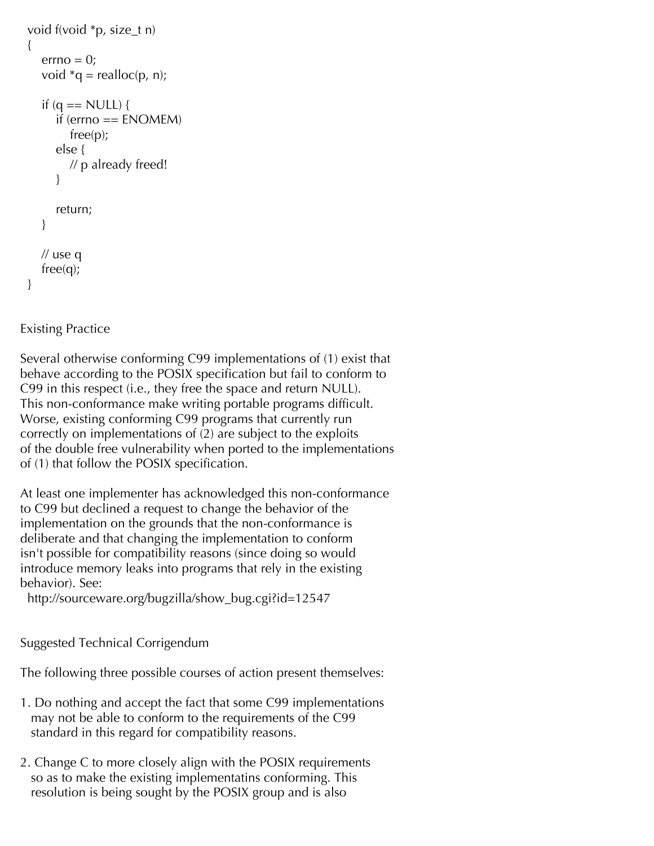```
 void f(void *p, size_t n)
{
  error = 0;
  void *q = realloc(p, n);
  if (q == NULL) {
      if (errno == ENOMEM)
         free(p);
      else {
         // p already freed!
      }
      return;
   }
   // use q
   free(q);
}
```
## Existing Practice

Several otherwise conforming C99 implementations of (1) exist that behave according to the POSIX specification but fail to conform to C99 in this respect (i.e., they free the space and return NULL). This non-conformance make writing portable programs difficult. Worse, existing conforming C99 programs that currently run correctly on implementations of (2) are subject to the exploits of the double free vulnerability when ported to the implementations of (1) that follow the POSIX specification.

At least one implementer has acknowledged this non-conformance to C99 but declined a request to change the behavior of the implementation on the grounds that the non-conformance is deliberate and that changing the implementation to conform isn't possible for compatibility reasons (since doing so would introduce memory leaks into programs that rely in the existing behavior). See:

http://sourceware.org/bugzilla/show\_bug.cgi?id=12547

Suggested Technical Corrigendum

The following three possible courses of action present themselves:

- 1. Do nothing and accept the fact that some C99 implementations may not be able to conform to the requirements of the C99 standard in this regard for compatibility reasons.
- 2. Change C to more closely align with the POSIX requirements so as to make the existing implementatins conforming. This resolution is being sought by the POSIX group and is also